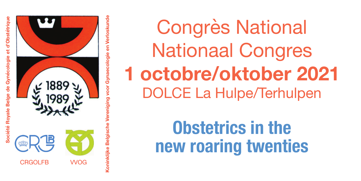**Société Royale Belge de Gynécologie et d'Obstétrique** et d'Obstétrique **Belge de Gynécologie** Société Royal



**Koninklijke Belgische Vereniging voor Gynaecologie en Verloskunde**  Verloskund **Coninklijke Belgische** 

Congrès National Nationaal Congres **1 octobre/oktober 2021** DOLCE La Hulpe/Terhulpen

> **Obstetrics in the new roaring twenties**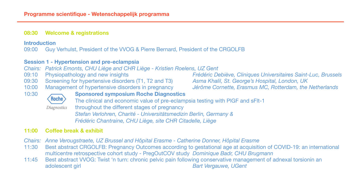#### **08:30 Welcome & registrations**

# **Introduction**<br>09:00 Guy

09:00 Guy Verhulst, President of the VVOG & Pierre Bernard, President of the CRGOLFB

### **Session 1 - Hypertension and pre-eclampsia**

*Chairs: Patrick Emonts, CHU Liège and CHR Liège - Kristien Roelens, UZ Gent*

- 
- 09:30 Screening for hypertensive disorders (T1, T2 and T3) *Asma Khalil, St. George's Hospital, London, UK*<br>10:00 Management of hypertensive disorders in pregnancy *Jérôme Cornette, Erasmus MC, Rotterdam, the*
- 10:00 Management of hypertensive disorders in pregnancy *Jérôme Cornette, Erasmus MC, Rotterdam, the Netherlands*

09:10 Physiopathology and new insights *Frédéric Debiève, Cliniques Universitaires Saint-Luc, Brussels*



10:30 **Sponsored symposium Roche Diagnostics** The clinical and economic value of pre-eclampsia testing with PlGF and sFlt-1 Diagnostics throughout the different stages of pregnancy *Stefan Verlohren, Charité - Universitätsmedizin Berlin, Germany &* 

*Frédéric Chantraine, CHU Liège, site CHR Citadelle, Liège* 

### **11:00 Coffee break & exhibit**

- *Chairs: Anne Verougstraete, UZ Brussel and Hôpital Erasme Catherine Donner, Hôpital Erasme*
- 11:30 Best abstract CRGOLFB: Pregnancy Outcomes according to gestational age at acquisition of COVID-19: an international multicentre retrospective cohort study - PregOutCOV study *Dominique Badr, CHU Brugmann*
- 11:45 Best abstract VVOG: Twist 'n turn: chronic pelvic pain following conservative management of adnexal torsionin an adolescent qirl<br>Bart Vergauwe, UGent **Bart Vergauwe, UGent**